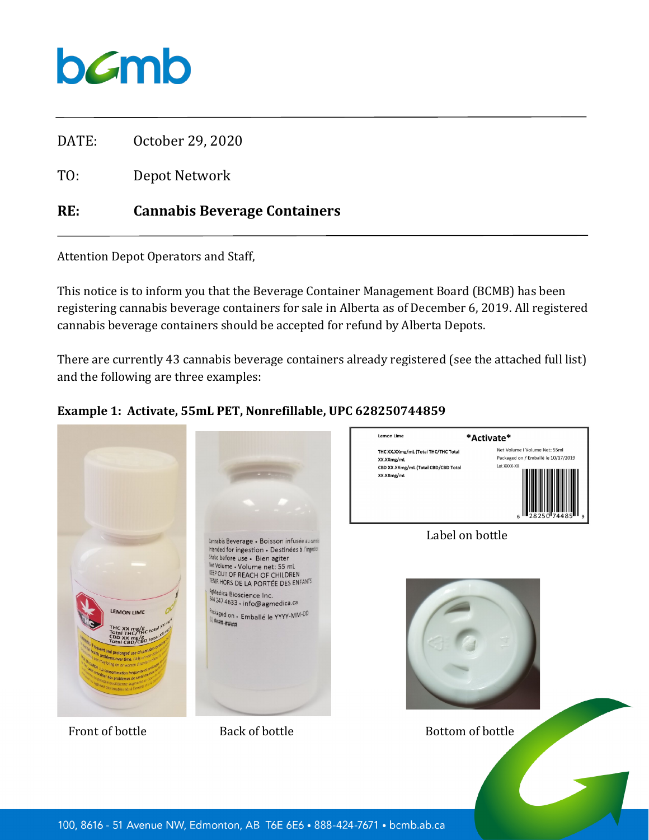

DATE: October 29, 2020

TO: Depot Network

## **RE: Cannabis Beverage Containers**

Attention Depot Operators and Staff,

This notice is to inform you that the Beverage Container Management Board (BCMB) has been registering cannabis beverage containers for sale in Alberta as of December 6, 2019. All registered cannabis beverage containers should be accepted for refund by Alberta Depots.

There are currently 43 cannabis beverage containers already registered (see the attached full list) and the following are three examples:

#### **Example 1: Activate, 55mL PET, Nonrefillable, UPC 628250744859**

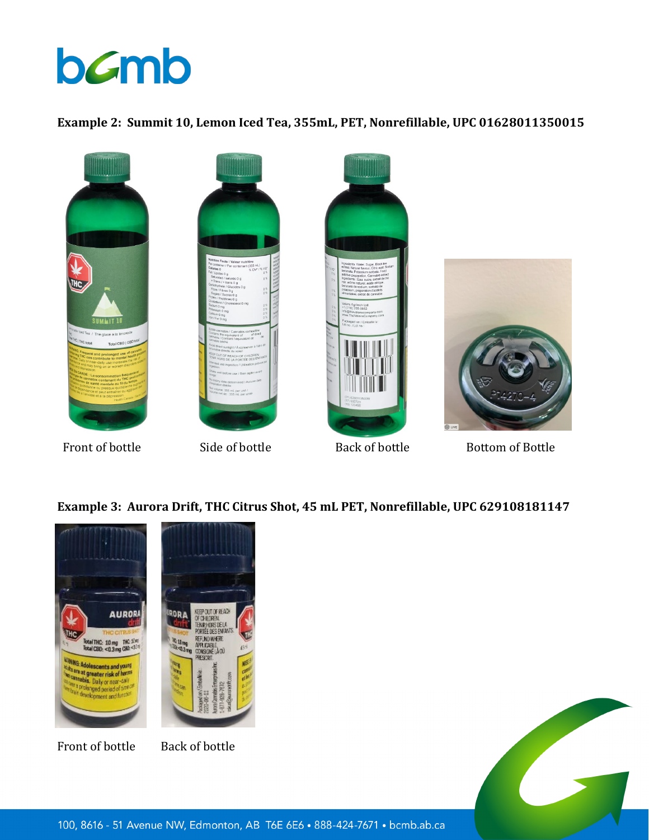# bamb

#### **Example 2: Summit 10, Lemon Iced Tea, 355mL, PET, Nonrefillable, UPC 01628011350015**







Front of bottle Side of bottle Back of bottle Bottom of Bottle

### **Example 3: Aurora Drift, THC Citrus Shot, 45 mL PET, Nonrefillable, UPC 629108181147**

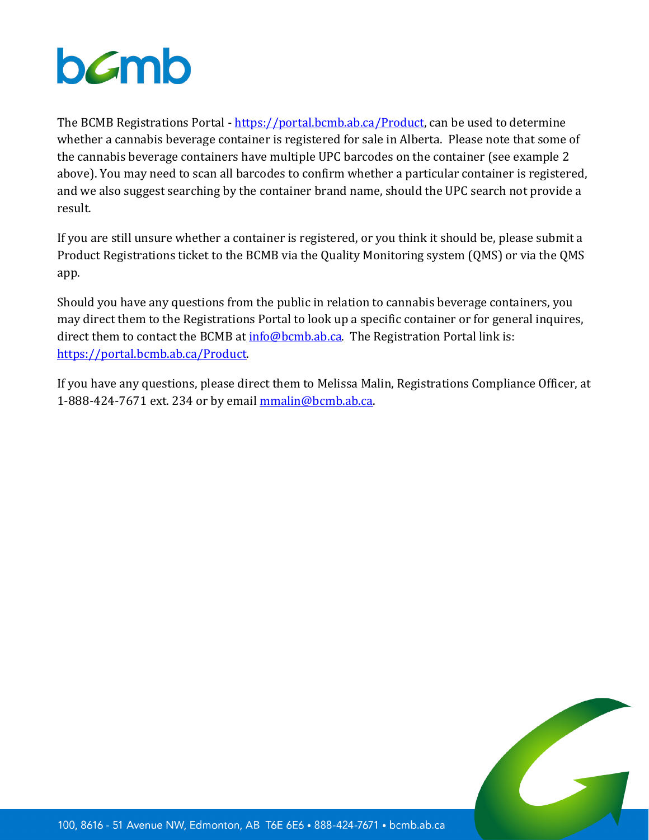# bamb

The BCMB Registrations Portal - [https://portal.bcmb.ab.ca/Product,](https://portal.bcmb.ab.ca/Product) can be used to determine whether a cannabis beverage container is registered for sale in Alberta. Please note that some of the cannabis beverage containers have multiple UPC barcodes on the container (see example 2 above). You may need to scan all barcodes to confirm whether a particular container is registered, and we also suggest searching by the container brand name, should the UPC search not provide a result.

If you are still unsure whether a container is registered, or you think it should be, please submit a Product Registrations ticket to the BCMB via the Quality Monitoring system (QMS) or via the QMS app.

Should you have any questions from the public in relation to cannabis beverage containers, you may direct them to the Registrations Portal to look up a specific container or for general inquires, direct them to contact the BCMB at  $info@bcmbab.ca$ . The Registration Portal link is: [https://portal.bcmb.ab.ca/Product.](https://portal.bcmb.ab.ca/Product)

If you have any questions, please direct them to Melissa Malin, Registrations Compliance Officer, at 1-888-424-7671 ext. 234 or by email [mmalin@bcmb.ab.ca.](mailto:mmalin@bcmb.ab.ca)